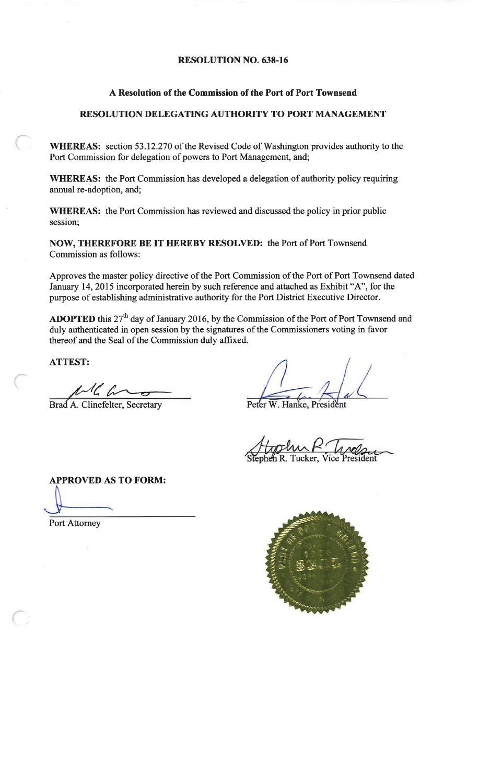## **RESOLUTION NO. 638-16**

# A Resolution of the Commission of the Port of Port Townsend

# RESOLUTION DELEGATING AUTHORITY TO PORT MANAGEMENT

WHEREAS: section 53.12.270 of the Revised Code of Washington provides authority to the Port Commission for delegation of powers to Port Management, and;

WHEREAS: the Port Commission has developed a delegation of authority policy requiring annual re-adoption, and;

**WHEREAS:** the Port Commission has reviewed and discussed the policy in prior public session;

NOW, THEREFORE BE IT HEREBY RESOLVED: the Port of Port Townsend Commission as follows:

Approves the master policy directive of the Port Commission of the Port of Port Townsend dated January 14, 2015 incorporated herein by such reference and attached as Exhibit "A", for the purpose of establishing administrative authority for the Port District Executive Director.

**ADOPTED** this  $27<sup>th</sup>$  day of January 2016, by the Commission of the Port of Port Townsend and duly authenticated in open session by the signatures of the Commissioners voting in favor thereof and the Seal of the Commission duly affixed.

**ATTEST:** 

 $\mathcal{A}$ la

Brad A. Clinefelter, Secretary

Peter W. Hanke, President

Tucker.

**APPROVED AS TO FORM:** 

**Port Attorney** 

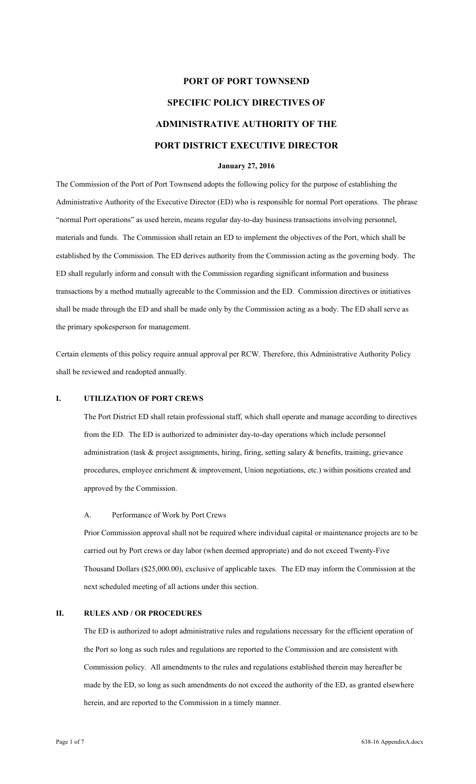# **PORT OF PORT TOWNSEND SPECIFIC POLICY DIRECTIVES OF ADMINISTRATIVE AUTHORITY OF THE PORT DISTRICT EXECUTIVE DIRECTOR**

## **January 27, 2016**

The Commission of the Port of Port Townsend adopts the following policy for the purpose of establishing the Administrative Authority of the Executive Director (ED) who is responsible for normal Port operations. The phrase "normal Port operations" as used herein, means regular day-to-day business transactions involving personnel, materials and funds. The Commission shall retain an ED to implement the objectives of the Port, which shall be established by the Commission. The ED derives authority from the Commission acting as the governing body. The ED shall regularly inform and consult with the Commission regarding significant information and business transactions by a method mutually agreeable to the Commission and the ED. Commission directives or initiatives shall be made through the ED and shall be made only by the Commission acting as a body. The ED shall serve as the primary spokesperson for management.

Certain elements of this policy require annual approval per RCW. Therefore, this Administrative Authority Policy shall be reviewed and readopted annually.

## **I. UTILIZATION OF PORT CREWS**

The Port District ED shall retain professional staff, which shall operate and manage according to directives from the ED. The ED is authorized to administer day-to-day operations which include personnel administration (task & project assignments, hiring, firing, setting salary & benefits, training, grievance procedures, employee enrichment & improvement, Union negotiations, etc.) within positions created and approved by the Commission.

## A. Performance of Work by Port Crews

Prior Commission approval shall not be required where individual capital or maintenance projects are to be carried out by Port crews or day labor (when deemed appropriate) and do not exceed Twenty-Five Thousand Dollars (\$25,000.00), exclusive of applicable taxes. The ED may inform the Commission at the next scheduled meeting of all actions under this section.

## **II. RULES AND / OR PROCEDURES**

The ED is authorized to adopt administrative rules and regulations necessary for the efficient operation of the Port so long as such rules and regulations are reported to the Commission and are consistent with Commission policy. All amendments to the rules and regulations established therein may hereafter be made by the ED, so long as such amendments do not exceed the authority of the ED, as granted elsewhere herein, and are reported to the Commission in a timely manner.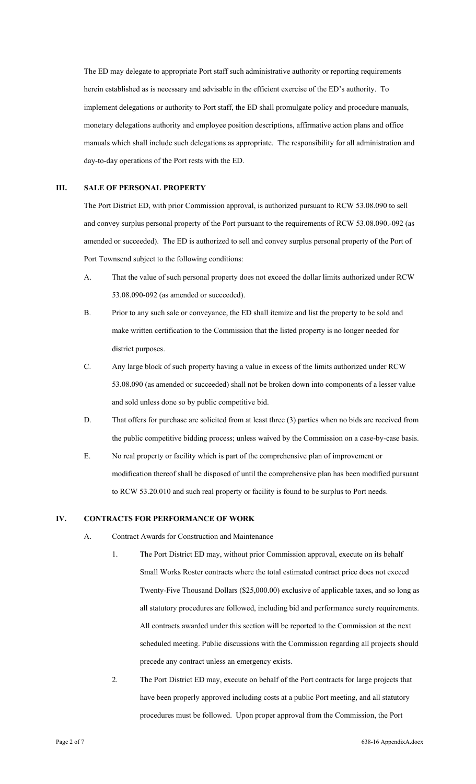The ED may delegate to appropriate Port staff such administrative authority or reporting requirements herein established as is necessary and advisable in the efficient exercise of the ED's authority. To implement delegations or authority to Port staff, the ED shall promulgate policy and procedure manuals, monetary delegations authority and employee position descriptions, affirmative action plans and office manuals which shall include such delegations as appropriate. The responsibility for all administration and day-to-day operations of the Port rests with the ED.

#### **III. SALE OF PERSONAL PROPERTY**

The Port District ED, with prior Commission approval, is authorized pursuant to RCW 53.08.090 to sell and convey surplus personal property of the Port pursuant to the requirements of RCW 53.08.090.-092 (as amended or succeeded). The ED is authorized to sell and convey surplus personal property of the Port of Port Townsend subject to the following conditions:

- A. That the value of such personal property does not exceed the dollar limits authorized under RCW 53.08.090-092 (as amended or succeeded).
- B. Prior to any such sale or conveyance, the ED shall itemize and list the property to be sold and make written certification to the Commission that the listed property is no longer needed for district purposes.
- C. Any large block of such property having a value in excess of the limits authorized under RCW 53.08.090 (as amended or succeeded) shall not be broken down into components of a lesser value and sold unless done so by public competitive bid.
- D. That offers for purchase are solicited from at least three (3) parties when no bids are received from the public competitive bidding process; unless waived by the Commission on a case-by-case basis.
- E. No real property or facility which is part of the comprehensive plan of improvement or modification thereof shall be disposed of until the comprehensive plan has been modified pursuant to RCW 53.20.010 and such real property or facility is found to be surplus to Port needs.

# **IV. CONTRACTS FOR PERFORMANCE OF WORK**

- A. Contract Awards for Construction and Maintenance
	- 1. The Port District ED may, without prior Commission approval, execute on its behalf Small Works Roster contracts where the total estimated contract price does not exceed Twenty-Five Thousand Dollars (\$25,000.00) exclusive of applicable taxes, and so long as all statutory procedures are followed, including bid and performance surety requirements. All contracts awarded under this section will be reported to the Commission at the next scheduled meeting. Public discussions with the Commission regarding all projects should precede any contract unless an emergency exists.
	- 2. The Port District ED may, execute on behalf of the Port contracts for large projects that have been properly approved including costs at a public Port meeting, and all statutory procedures must be followed. Upon proper approval from the Commission, the Port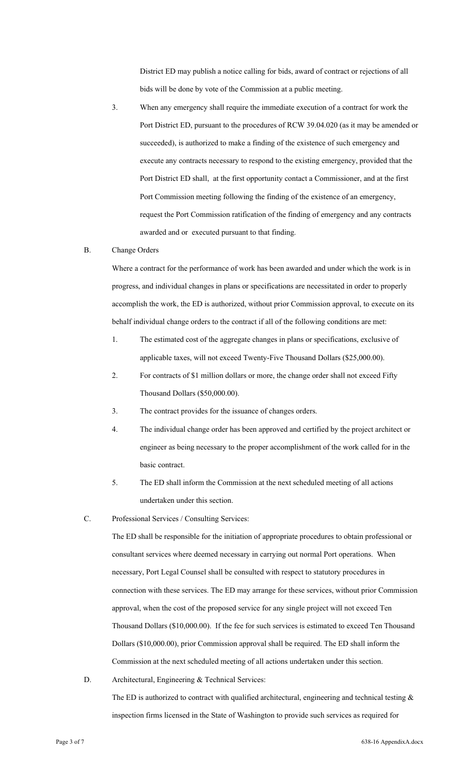District ED may publish a notice calling for bids, award of contract or rejections of all bids will be done by vote of the Commission at a public meeting.

3. When any emergency shall require the immediate execution of a contract for work the Port District ED, pursuant to the procedures of RCW 39.04.020 (as it may be amended or succeeded), is authorized to make a finding of the existence of such emergency and execute any contracts necessary to respond to the existing emergency, provided that the Port District ED shall, at the first opportunity contact a Commissioner, and at the first Port Commission meeting following the finding of the existence of an emergency, request the Port Commission ratification of the finding of emergency and any contracts awarded and or executed pursuant to that finding.

#### B. Change Orders

Where a contract for the performance of work has been awarded and under which the work is in progress, and individual changes in plans or specifications are necessitated in order to properly accomplish the work, the ED is authorized, without prior Commission approval, to execute on its behalf individual change orders to the contract if all of the following conditions are met:

- 1. The estimated cost of the aggregate changes in plans or specifications, exclusive of applicable taxes, will not exceed Twenty-Five Thousand Dollars (\$25,000.00).
- 2. For contracts of \$1 million dollars or more, the change order shall not exceed Fifty Thousand Dollars (\$50,000.00).
- 3. The contract provides for the issuance of changes orders.
- 4. The individual change order has been approved and certified by the project architect or engineer as being necessary to the proper accomplishment of the work called for in the basic contract.
- 5. The ED shall inform the Commission at the next scheduled meeting of all actions undertaken under this section.
- C. Professional Services / Consulting Services:

The ED shall be responsible for the initiation of appropriate procedures to obtain professional or consultant services where deemed necessary in carrying out normal Port operations. When necessary, Port Legal Counsel shall be consulted with respect to statutory procedures in connection with these services. The ED may arrange for these services, without prior Commission approval, when the cost of the proposed service for any single project will not exceed Ten Thousand Dollars (\$10,000.00). If the fee for such services is estimated to exceed Ten Thousand Dollars (\$10,000.00), prior Commission approval shall be required. The ED shall inform the Commission at the next scheduled meeting of all actions undertaken under this section.

D. Architectural, Engineering & Technical Services: The ED is authorized to contract with qualified architectural, engineering and technical testing  $\&$ 

inspection firms licensed in the State of Washington to provide such services as required for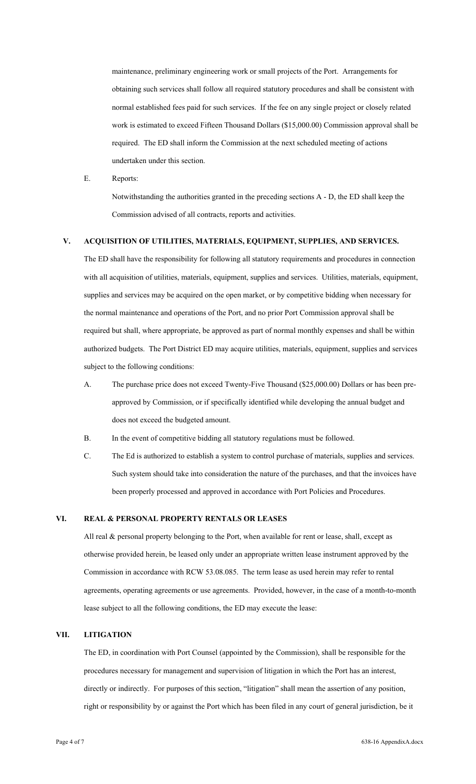maintenance, preliminary engineering work or small projects of the Port. Arrangements for obtaining such services shall follow all required statutory procedures and shall be consistent with normal established fees paid for such services. If the fee on any single project or closely related work is estimated to exceed Fifteen Thousand Dollars (\$15,000.00) Commission approval shall be required. The ED shall inform the Commission at the next scheduled meeting of actions undertaken under this section.

E. Reports:

Notwithstanding the authorities granted in the preceding sections A - D, the ED shall keep the Commission advised of all contracts, reports and activities.

# **V. ACQUISITION OF UTILITIES, MATERIALS, EQUIPMENT, SUPPLIES, AND SERVICES.**

The ED shall have the responsibility for following all statutory requirements and procedures in connection with all acquisition of utilities, materials, equipment, supplies and services. Utilities, materials, equipment, supplies and services may be acquired on the open market, or by competitive bidding when necessary for the normal maintenance and operations of the Port, and no prior Port Commission approval shall be required but shall, where appropriate, be approved as part of normal monthly expenses and shall be within authorized budgets. The Port District ED may acquire utilities, materials, equipment, supplies and services subject to the following conditions:

- A. The purchase price does not exceed Twenty-Five Thousand (\$25,000.00) Dollars or has been preapproved by Commission, or if specifically identified while developing the annual budget and does not exceed the budgeted amount.
- B. In the event of competitive bidding all statutory regulations must be followed.
- C. The Ed is authorized to establish a system to control purchase of materials, supplies and services. Such system should take into consideration the nature of the purchases, and that the invoices have been properly processed and approved in accordance with Port Policies and Procedures.

# **VI. REAL & PERSONAL PROPERTY RENTALS OR LEASES**

All real & personal property belonging to the Port, when available for rent or lease, shall, except as otherwise provided herein, be leased only under an appropriate written lease instrument approved by the Commission in accordance with RCW 53.08.085. The term lease as used herein may refer to rental agreements, operating agreements or use agreements. Provided, however, in the case of a month-to-month lease subject to all the following conditions, the ED may execute the lease:

## **VII. LITIGATION**

The ED, in coordination with Port Counsel (appointed by the Commission), shall be responsible for the procedures necessary for management and supervision of litigation in which the Port has an interest, directly or indirectly. For purposes of this section, "litigation" shall mean the assertion of any position, right or responsibility by or against the Port which has been filed in any court of general jurisdiction, be it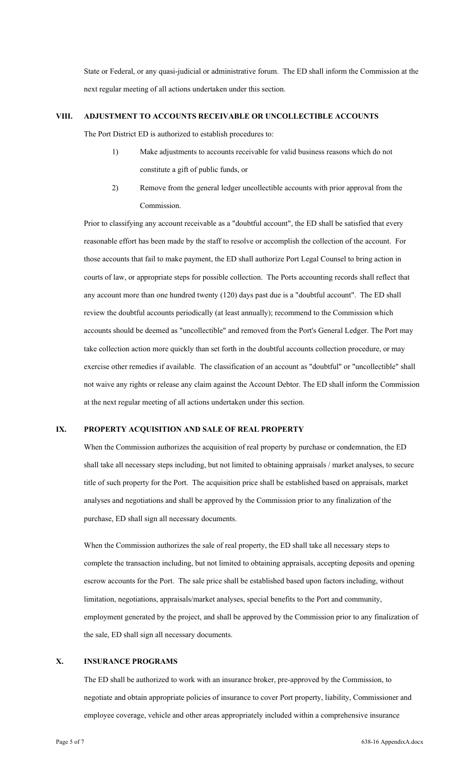State or Federal, or any quasi-judicial or administrative forum. The ED shall inform the Commission at the next regular meeting of all actions undertaken under this section.

## **VIII. ADJUSTMENT TO ACCOUNTS RECEIVABLE OR UNCOLLECTIBLE ACCOUNTS**

The Port District ED is authorized to establish procedures to:

- 1) Make adjustments to accounts receivable for valid business reasons which do not constitute a gift of public funds, or
- 2) Remove from the general ledger uncollectible accounts with prior approval from the Commission.

Prior to classifying any account receivable as a "doubtful account", the ED shall be satisfied that every reasonable effort has been made by the staff to resolve or accomplish the collection of the account. For those accounts that fail to make payment, the ED shall authorize Port Legal Counsel to bring action in courts of law, or appropriate steps for possible collection. The Ports accounting records shall reflect that any account more than one hundred twenty (120) days past due is a "doubtful account". The ED shall review the doubtful accounts periodically (at least annually); recommend to the Commission which accounts should be deemed as "uncollectible" and removed from the Port's General Ledger. The Port may take collection action more quickly than set forth in the doubtful accounts collection procedure, or may exercise other remedies if available. The classification of an account as "doubtful" or "uncollectible" shall not waive any rights or release any claim against the Account Debtor. The ED shall inform the Commission at the next regular meeting of all actions undertaken under this section.

## **IX. PROPERTY ACQUISITION AND SALE OF REAL PROPERTY**

When the Commission authorizes the acquisition of real property by purchase or condemnation, the ED shall take all necessary steps including, but not limited to obtaining appraisals / market analyses, to secure title of such property for the Port. The acquisition price shall be established based on appraisals, market analyses and negotiations and shall be approved by the Commission prior to any finalization of the purchase, ED shall sign all necessary documents.

When the Commission authorizes the sale of real property, the ED shall take all necessary steps to complete the transaction including, but not limited to obtaining appraisals, accepting deposits and opening escrow accounts for the Port. The sale price shall be established based upon factors including, without limitation, negotiations, appraisals/market analyses, special benefits to the Port and community, employment generated by the project, and shall be approved by the Commission prior to any finalization of the sale, ED shall sign all necessary documents.

## **X. INSURANCE PROGRAMS**

The ED shall be authorized to work with an insurance broker, pre-approved by the Commission, to negotiate and obtain appropriate policies of insurance to cover Port property, liability, Commissioner and employee coverage, vehicle and other areas appropriately included within a comprehensive insurance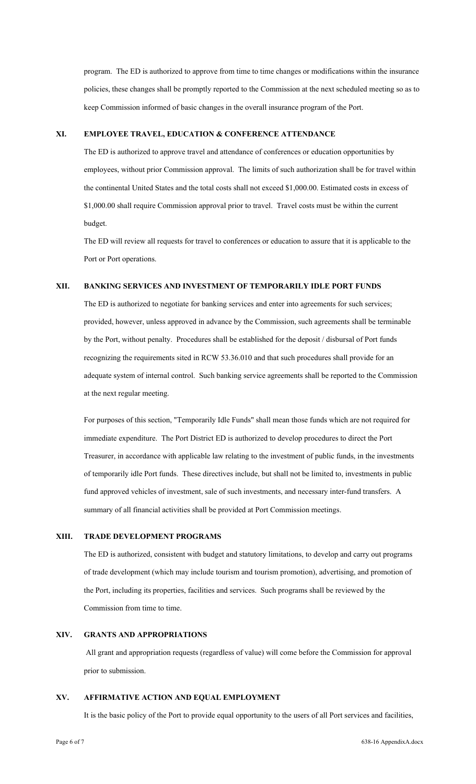program. The ED is authorized to approve from time to time changes or modifications within the insurance policies, these changes shall be promptly reported to the Commission at the next scheduled meeting so as to keep Commission informed of basic changes in the overall insurance program of the Port.

# **XI. EMPLOYEE TRAVEL, EDUCATION & CONFERENCE ATTENDANCE**

The ED is authorized to approve travel and attendance of conferences or education opportunities by employees, without prior Commission approval. The limits of such authorization shall be for travel within the continental United States and the total costs shall not exceed \$1,000.00. Estimated costs in excess of \$1,000.00 shall require Commission approval prior to travel. Travel costs must be within the current budget.

The ED will review all requests for travel to conferences or education to assure that it is applicable to the Port or Port operations.

## **XII. BANKING SERVICES AND INVESTMENT OF TEMPORARILY IDLE PORT FUNDS**

The ED is authorized to negotiate for banking services and enter into agreements for such services; provided, however, unless approved in advance by the Commission, such agreements shall be terminable by the Port, without penalty. Procedures shall be established for the deposit / disbursal of Port funds recognizing the requirements sited in RCW 53.36.010 and that such procedures shall provide for an adequate system of internal control. Such banking service agreements shall be reported to the Commission at the next regular meeting.

For purposes of this section, "Temporarily Idle Funds" shall mean those funds which are not required for immediate expenditure. The Port District ED is authorized to develop procedures to direct the Port Treasurer, in accordance with applicable law relating to the investment of public funds, in the investments of temporarily idle Port funds. These directives include, but shall not be limited to, investments in public fund approved vehicles of investment, sale of such investments, and necessary inter-fund transfers. A summary of all financial activities shall be provided at Port Commission meetings.

#### **XIII. TRADE DEVELOPMENT PROGRAMS**

The ED is authorized, consistent with budget and statutory limitations, to develop and carry out programs of trade development (which may include tourism and tourism promotion), advertising, and promotion of the Port, including its properties, facilities and services. Such programs shall be reviewed by the Commission from time to time.

# **XIV. GRANTS AND APPROPRIATIONS**

 All grant and appropriation requests (regardless of value) will come before the Commission for approval prior to submission.

## **XV. AFFIRMATIVE ACTION AND EQUAL EMPLOYMENT**

It is the basic policy of the Port to provide equal opportunity to the users of all Port services and facilities,